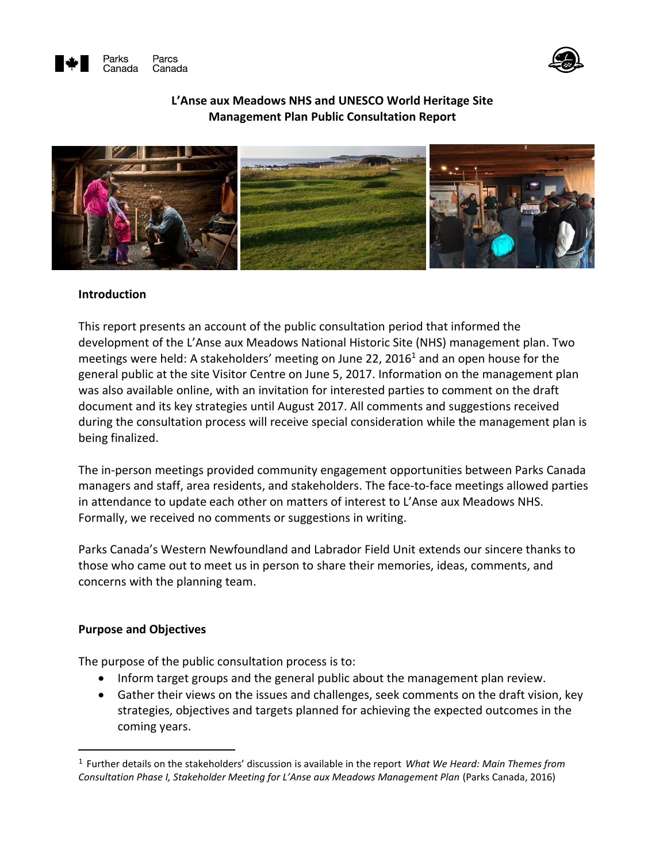



#### **L'Anse aux Meadows NHS and UNESCO World Heritage Site Management Plan Public Consultation Report**



#### **Introduction**

This report presents an account of the public consultation period that informed the development of the L'Anse aux Meadows National Historic Site (NHS) management plan. Two meetings were held: A stakeholders' meeting on June 22, 2016<sup>1</sup> and an open house for the general public at the site Visitor Centre on June 5, 2017. Information on the management plan was also available online, with an invitation for interested parties to comment on the draft document and its key strategies until August 2017. All comments and suggestions received during the consultation process will receive special consideration while the management plan is being finalized.

The in-person meetings provided community engagement opportunities between Parks Canada managers and staff, area residents, and stakeholders. The face-to-face meetings allowed parties in attendance to update each other on matters of interest to L'Anse aux Meadows NHS. Formally, we received no comments or suggestions in writing.

Parks Canada's Western Newfoundland and Labrador Field Unit extends our sincere thanks to those who came out to meet us in person to share their memories, ideas, comments, and concerns with the planning team.

#### **Purpose and Objectives**

 $\overline{a}$ 

The purpose of the public consultation process is to:

- Inform target groups and the general public about the management plan review.
- Gather their views on the issues and challenges, seek comments on the draft vision, key strategies, objectives and targets planned for achieving the expected outcomes in the coming years.

<sup>1</sup> Further details on the stakeholders' discussion is available in the report *What We Heard: Main Themes from Consultation Phase I, Stakeholder Meeting for L'Anse aux Meadows Management Plan* (Parks Canada, 2016)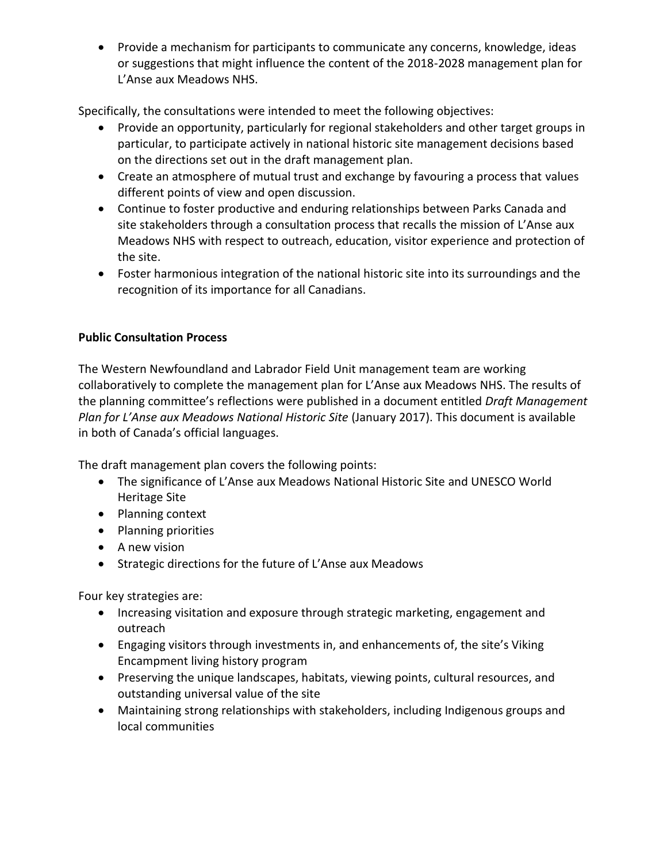Provide a mechanism for participants to communicate any concerns, knowledge, ideas or suggestions that might influence the content of the 2018-2028 management plan for L'Anse aux Meadows NHS.

Specifically, the consultations were intended to meet the following objectives:

- Provide an opportunity, particularly for regional stakeholders and other target groups in particular, to participate actively in national historic site management decisions based on the directions set out in the draft management plan.
- Create an atmosphere of mutual trust and exchange by favouring a process that values different points of view and open discussion.
- Continue to foster productive and enduring relationships between Parks Canada and site stakeholders through a consultation process that recalls the mission of L'Anse aux Meadows NHS with respect to outreach, education, visitor experience and protection of the site.
- Foster harmonious integration of the national historic site into its surroundings and the recognition of its importance for all Canadians.

# **Public Consultation Process**

The Western Newfoundland and Labrador Field Unit management team are working collaboratively to complete the management plan for L'Anse aux Meadows NHS. The results of the planning committee's reflections were published in a document entitled *Draft Management Plan for L'Anse aux Meadows National Historic Site* (January 2017). This document is available in both of Canada's official languages.

The draft management plan covers the following points:

- The significance of L'Anse aux Meadows National Historic Site and UNESCO World Heritage Site
- Planning context
- Planning priorities
- A new vision
- Strategic directions for the future of L'Anse aux Meadows

Four key strategies are:

- Increasing visitation and exposure through strategic marketing, engagement and outreach
- Engaging visitors through investments in, and enhancements of, the site's Viking Encampment living history program
- Preserving the unique landscapes, habitats, viewing points, cultural resources, and outstanding universal value of the site
- Maintaining strong relationships with stakeholders, including Indigenous groups and local communities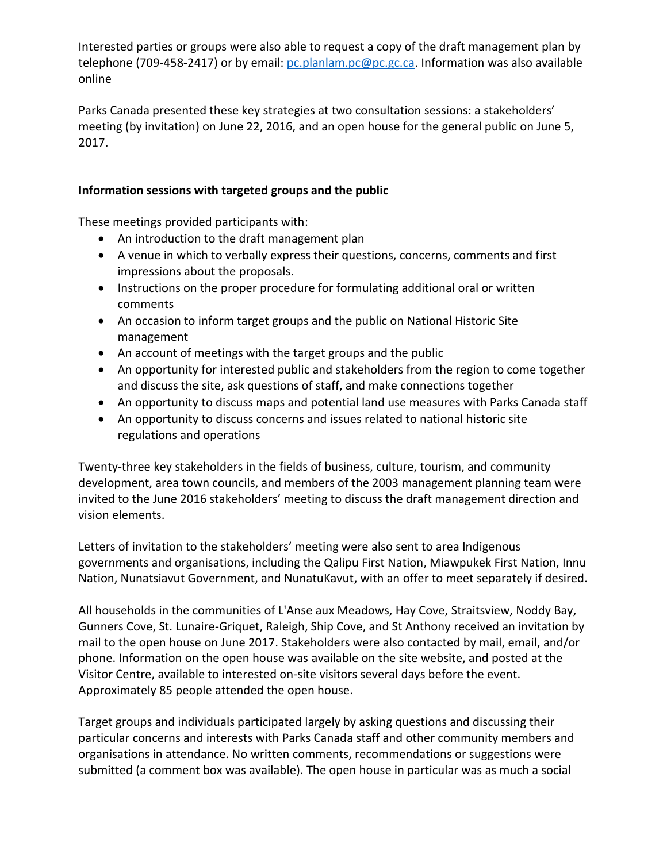Interested parties or groups were also able to request a copy of the draft management plan by telephone (709-458-2417) or by email: [pc.planlam.pc@pc.gc.ca.](mailto:pc.planlam.pc@pc.gc.ca) Information was also available online

Parks Canada presented these key strategies at two consultation sessions: a stakeholders' meeting (by invitation) on June 22, 2016, and an open house for the general public on June 5, 2017.

## **Information sessions with targeted groups and the public**

These meetings provided participants with:

- An introduction to the draft management plan
- A venue in which to verbally express their questions, concerns, comments and first impressions about the proposals.
- Instructions on the proper procedure for formulating additional oral or written comments
- An occasion to inform target groups and the public on National Historic Site management
- An account of meetings with the target groups and the public
- An opportunity for interested public and stakeholders from the region to come together and discuss the site, ask questions of staff, and make connections together
- An opportunity to discuss maps and potential land use measures with Parks Canada staff
- An opportunity to discuss concerns and issues related to national historic site regulations and operations

Twenty-three key stakeholders in the fields of business, culture, tourism, and community development, area town councils, and members of the 2003 management planning team were invited to the June 2016 stakeholders' meeting to discuss the draft management direction and vision elements.

Letters of invitation to the stakeholders' meeting were also sent to area Indigenous governments and organisations, including the Qalipu First Nation, Miawpukek First Nation, Innu Nation, Nunatsiavut Government, and NunatuKavut, with an offer to meet separately if desired.

All households in the communities of L'Anse aux Meadows, Hay Cove, Straitsview, Noddy Bay, Gunners Cove, St. Lunaire-Griquet, Raleigh, Ship Cove, and St Anthony received an invitation by mail to the open house on June 2017. Stakeholders were also contacted by mail, email, and/or phone. Information on the open house was available on the site website, and posted at the Visitor Centre, available to interested on-site visitors several days before the event. Approximately 85 people attended the open house.

Target groups and individuals participated largely by asking questions and discussing their particular concerns and interests with Parks Canada staff and other community members and organisations in attendance. No written comments, recommendations or suggestions were submitted (a comment box was available). The open house in particular was as much a social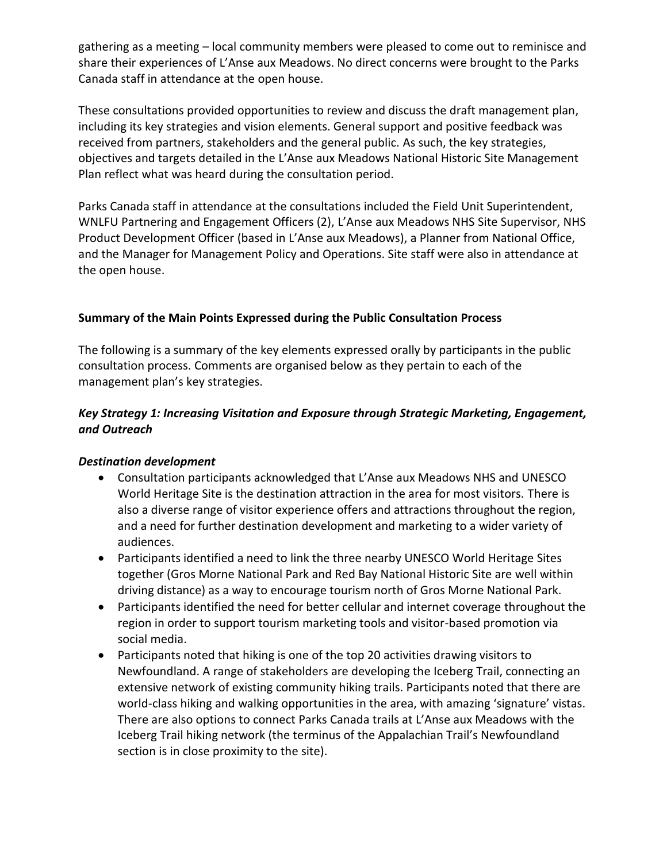gathering as a meeting – local community members were pleased to come out to reminisce and share their experiences of L'Anse aux Meadows. No direct concerns were brought to the Parks Canada staff in attendance at the open house.

These consultations provided opportunities to review and discuss the draft management plan, including its key strategies and vision elements. General support and positive feedback was received from partners, stakeholders and the general public. As such, the key strategies, objectives and targets detailed in the L'Anse aux Meadows National Historic Site Management Plan reflect what was heard during the consultation period.

Parks Canada staff in attendance at the consultations included the Field Unit Superintendent, WNLFU Partnering and Engagement Officers (2), L'Anse aux Meadows NHS Site Supervisor, NHS Product Development Officer (based in L'Anse aux Meadows), a Planner from National Office, and the Manager for Management Policy and Operations. Site staff were also in attendance at the open house.

# **Summary of the Main Points Expressed during the Public Consultation Process**

The following is a summary of the key elements expressed orally by participants in the public consultation process. Comments are organised below as they pertain to each of the management plan's key strategies.

# *Key Strategy 1: Increasing Visitation and Exposure through Strategic Marketing, Engagement, and Outreach*

## *Destination development*

- Consultation participants acknowledged that L'Anse aux Meadows NHS and UNESCO World Heritage Site is the destination attraction in the area for most visitors. There is also a diverse range of visitor experience offers and attractions throughout the region, and a need for further destination development and marketing to a wider variety of audiences.
- Participants identified a need to link the three nearby UNESCO World Heritage Sites together (Gros Morne National Park and Red Bay National Historic Site are well within driving distance) as a way to encourage tourism north of Gros Morne National Park.
- Participants identified the need for better cellular and internet coverage throughout the region in order to support tourism marketing tools and visitor-based promotion via social media.
- Participants noted that hiking is one of the top 20 activities drawing visitors to Newfoundland. A range of stakeholders are developing the Iceberg Trail, connecting an extensive network of existing community hiking trails. Participants noted that there are world-class hiking and walking opportunities in the area, with amazing 'signature' vistas. There are also options to connect Parks Canada trails at L'Anse aux Meadows with the Iceberg Trail hiking network (the terminus of the Appalachian Trail's Newfoundland section is in close proximity to the site).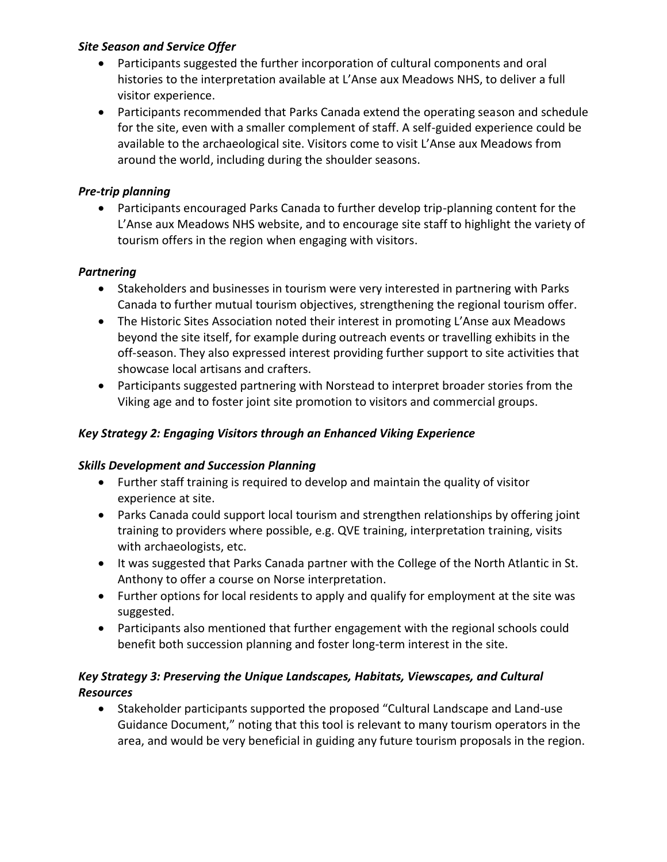## *Site Season and Service Offer*

- Participants suggested the further incorporation of cultural components and oral histories to the interpretation available at L'Anse aux Meadows NHS, to deliver a full visitor experience.
- Participants recommended that Parks Canada extend the operating season and schedule for the site, even with a smaller complement of staff. A self-guided experience could be available to the archaeological site. Visitors come to visit L'Anse aux Meadows from around the world, including during the shoulder seasons.

# *Pre-trip planning*

 Participants encouraged Parks Canada to further develop trip-planning content for the L'Anse aux Meadows NHS website, and to encourage site staff to highlight the variety of tourism offers in the region when engaging with visitors.

# *Partnering*

- Stakeholders and businesses in tourism were very interested in partnering with Parks Canada to further mutual tourism objectives, strengthening the regional tourism offer.
- The Historic Sites Association noted their interest in promoting L'Anse aux Meadows beyond the site itself, for example during outreach events or travelling exhibits in the off-season. They also expressed interest providing further support to site activities that showcase local artisans and crafters.
- Participants suggested partnering with Norstead to interpret broader stories from the Viking age and to foster joint site promotion to visitors and commercial groups.

# *Key Strategy 2: Engaging Visitors through an Enhanced Viking Experience*

## *Skills Development and Succession Planning*

- Further staff training is required to develop and maintain the quality of visitor experience at site.
- Parks Canada could support local tourism and strengthen relationships by offering joint training to providers where possible, e.g. QVE training, interpretation training, visits with archaeologists, etc.
- It was suggested that Parks Canada partner with the College of the North Atlantic in St. Anthony to offer a course on Norse interpretation.
- Further options for local residents to apply and qualify for employment at the site was suggested.
- Participants also mentioned that further engagement with the regional schools could benefit both succession planning and foster long-term interest in the site.

# *Key Strategy 3: Preserving the Unique Landscapes, Habitats, Viewscapes, and Cultural Resources*

 Stakeholder participants supported the proposed "Cultural Landscape and Land-use Guidance Document," noting that this tool is relevant to many tourism operators in the area, and would be very beneficial in guiding any future tourism proposals in the region.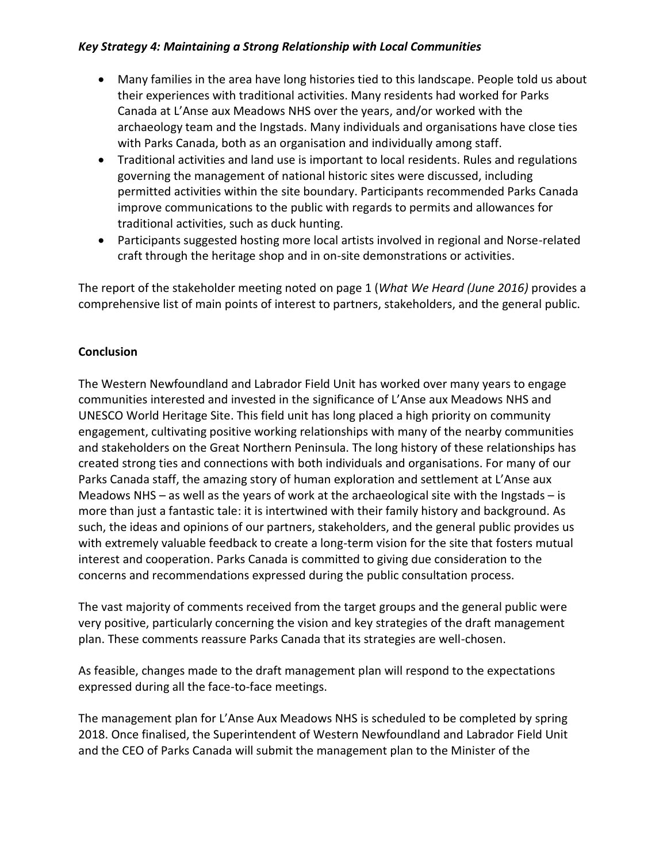#### *Key Strategy 4: Maintaining a Strong Relationship with Local Communities*

- Many families in the area have long histories tied to this landscape. People told us about their experiences with traditional activities. Many residents had worked for Parks Canada at L'Anse aux Meadows NHS over the years, and/or worked with the archaeology team and the Ingstads. Many individuals and organisations have close ties with Parks Canada, both as an organisation and individually among staff.
- Traditional activities and land use is important to local residents. Rules and regulations governing the management of national historic sites were discussed, including permitted activities within the site boundary. Participants recommended Parks Canada improve communications to the public with regards to permits and allowances for traditional activities, such as duck hunting.
- Participants suggested hosting more local artists involved in regional and Norse-related craft through the heritage shop and in on-site demonstrations or activities.

The report of the stakeholder meeting noted on page 1 (*What We Heard (June 2016)* provides a comprehensive list of main points of interest to partners, stakeholders, and the general public.

## **Conclusion**

The Western Newfoundland and Labrador Field Unit has worked over many years to engage communities interested and invested in the significance of L'Anse aux Meadows NHS and UNESCO World Heritage Site. This field unit has long placed a high priority on community engagement, cultivating positive working relationships with many of the nearby communities and stakeholders on the Great Northern Peninsula. The long history of these relationships has created strong ties and connections with both individuals and organisations. For many of our Parks Canada staff, the amazing story of human exploration and settlement at L'Anse aux Meadows NHS – as well as the years of work at the archaeological site with the Ingstads – is more than just a fantastic tale: it is intertwined with their family history and background. As such, the ideas and opinions of our partners, stakeholders, and the general public provides us with extremely valuable feedback to create a long-term vision for the site that fosters mutual interest and cooperation. Parks Canada is committed to giving due consideration to the concerns and recommendations expressed during the public consultation process.

The vast majority of comments received from the target groups and the general public were very positive, particularly concerning the vision and key strategies of the draft management plan. These comments reassure Parks Canada that its strategies are well-chosen.

As feasible, changes made to the draft management plan will respond to the expectations expressed during all the face-to-face meetings.

The management plan for L'Anse Aux Meadows NHS is scheduled to be completed by spring 2018. Once finalised, the Superintendent of Western Newfoundland and Labrador Field Unit and the CEO of Parks Canada will submit the management plan to the Minister of the